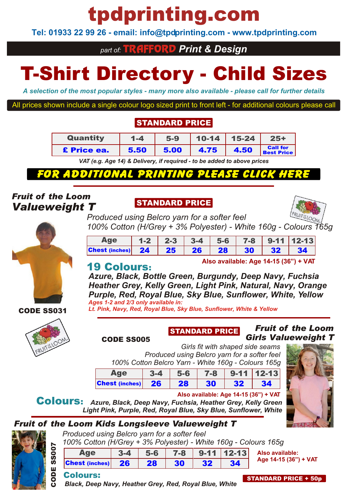# tpdprinting.com

**Tel: 01933 22 99 26 - email: info@tpdprinting.com - www.tpdprinting.com**

### *part of:* TRAFFORD *Print & Design*

# T-Shirt Directory - Child Sizes

*A selection of the most popular styles - many more also available - please call for further details*

All prices shown include a single colour logo sized print to front left - for additional colours please call

### STANDARD PRICE

| Quantity    | $1 - 4$ | $5-9$ |      | $10-14$   15-24 | $25+$                                |
|-------------|---------|-------|------|-----------------|--------------------------------------|
| £ Price ea. | 5.50    | 5.00  | 4.75 | 4.50            | <b>Call for</b><br><b>Best Price</b> |

*VAT (e.g. Age 14) & Delivery, if required - to be added to above prices*

## $\boldsymbol{\eta}$

### *Fruit of the Loom Valueweight T*

### STANDARD PRICE



*Produced using Belcro yarn for a softer feel 100% Cotton (H/Grey + 3% Polyester) - White 160g - Colours 165g*

| $100,000$ . The state $10,000$ is the state $100,000$ is the state $100,000$ in the state $100,000$ |  |  |  |  |
|-----------------------------------------------------------------------------------------------------|--|--|--|--|
| Age   1-2   2-3   3-4   5-6   7-8   9-11   12-13                                                    |  |  |  |  |
| Chest (inches) 24 25 26 28 30 32 34                                                                 |  |  |  |  |

### 19 Colours:

**Also available: Age 14-15 (36") + VAT**

*Azure, Black, Bottle Green, Burgundy, Deep Navy, Fuchsia Heather Grey, Kelly Green, Light Pink, Natural, Navy, Orange Purple, Red, Royal Blue, Sky Blue, Sunflower, White, Yellow Ages 1-2 and 2/3 only available in:*

*Lt. Pink, Navy, Red, Royal Blue, Sky Blue, Sunflower, White & Yellow*



CODE SS031

CODE SS005

## STANDARD PRICE

#### *Fruit of the Loom Girls Valueweight T*

*Girls fit with shaped side seams Produced using Belcro yarn for a softer feel 100% Cotton Belcro Yarn - White 160g - Colours 165g*

|                       | 3-4  | $5-6$ | $7-8$ |     | $9 - 11$   12-13 |
|-----------------------|------|-------|-------|-----|------------------|
| <b>Chest (inches)</b> | - 26 | 28    | 30    | -22 |                  |

#### **Also available: Age 14-15 (36") + VAT**

Colours: *Azure, Black, Deep Navy, Fuchsia, Heather Grey, Kelly Green Light Pink, Purple, Red, Royal Blue, Sky Blue, Sunflower, White*

## *Fruit of the Loom Kids Longsleeve Valueweight T*

ပ e<br>O

SS007

| $A \cap \Omega$                                                 |  |  | 24 EG 79 044 4242 Also avail |
|-----------------------------------------------------------------|--|--|------------------------------|
| 100% Cotton (H/Grey + 3% Polyester) - White 160g - Colours 165g |  |  |                              |
| Produced using Belcro yarn for a softer feel                    |  |  |                              |

| Age               | <u>з.</u> | $-5-6$    |    |    | $7 - 8$   9-11   12-13 | A |
|-------------------|-----------|-----------|----|----|------------------------|---|
| Chest (inches) 26 |           | <b>28</b> | 30 | 32 |                        |   |

**Also available: Age 14-15 (36") + VAT**

### Colours:

*Black, Deep Navy, Heather Grey, Red, Royal Blue, White*

STANDARD PRICE + 50p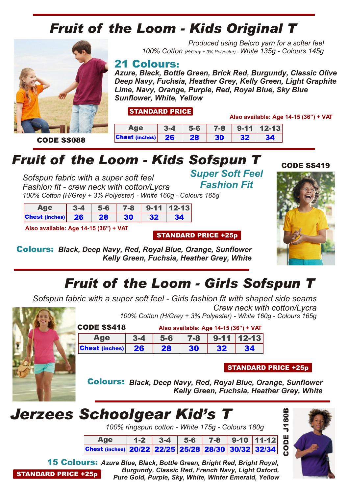

*100% Cotton (H/Grey + 3% Polyester) - White 135g - Colours 145g*

21 Colours:

*Azure, Black, Bottle Green, Brick Red, Burgundy, Classic Olive Deep Navy, Fuchsia, Heather Grey, Kelly Green, Light Graphite Lime, Navy, Orange, Purple, Red, Royal Blue, Sky Blue Sunflower, White, Yellow*

*Produced using Belcro yarn for a softer feel*

STANDARD PRICE

**Also available: Age 14-15 (36") + VAT**

|                                 | 3-4 | $5-6$ |    |    | $7 - 8$   9-11   12-13 |
|---------------------------------|-----|-------|----|----|------------------------|
| <b>Chest</b> (inches) $26$   28 |     |       | 30 | 32 | 34                     |

# *Fruit of the Loom - Kids Sofspun T*

*Sofspun fabric with a super soft feel Fashion fit - crew neck with cotton/Lycra 100% Cotton (H/Grey + 3% Polyester) - White 160g - Colours 165g*

|                   | $-5 - 6$ |    |     | $7 - 8$   9-11   12-13 |
|-------------------|----------|----|-----|------------------------|
| Chest (inches) 26 | 28       | 30 | -32 | 34                     |

**Also available: Age 14-15 (36") + VAT**

*Super Soft Feel Fashion Fit*



Colours: *Black, Deep Navy, Red, Royal Blue, Orange, Sunflower Kelly Green, Fuchsia, Heather Grey, White*

# *Fruit of the Loom - Girls Sofspun T*

STANDARD PRICE +25p

*Sofspun fabric with a super soft feel - Girls fashion fit with shaped side seams Crew neck with cotton/Lycra 100% Cotton (H/Grey + 3% Polyester) - White 160g - Colours 165g*



CODE SS418 **Also available: Age 14-15 (36") + VAT**

| $A$ $\alpha$ available. $A$ $\alpha$ $\beta$ $\gamma$ $\gamma$ $\beta$ $\gamma$ $\gamma$ |         |       |    |    |                                |
|------------------------------------------------------------------------------------------|---------|-------|----|----|--------------------------------|
|                                                                                          | $3 - 4$ | $5-6$ |    |    | $\vert$ 7-8 $\vert$ 9-11 12-13 |
| <b>Chest (inches)</b>                                                                    | $-26$   | 28    | 30 | 32 | 34                             |

#### STANDARD PRICE +25p

Colours: *Black, Deep Navy, Red, Royal Blue, Orange, Sunflower Kelly Green, Fuchsia, Heather Grey, White*

# *Jerzees Schoolgear Kid's T*

*100% ringspun cotton - White 175g - Colours 180g*

Age | 1-2 | 3-4 | 5-6 | 7-8 | 9-10 |11-12| Chest (inches) 20/22 22/25 25/28 28/30 30/32 32/34



ပ o<br>O

STANDARD PRICE +25p 15 Colours: *Azure Blue, Black, Bottle Green, Bright Red, Bright Royal, Burgundy, Classic Red, French Navy, Light Oxford, Pure Gold, Purple, Sky, White, Winter Emerald, Yellow*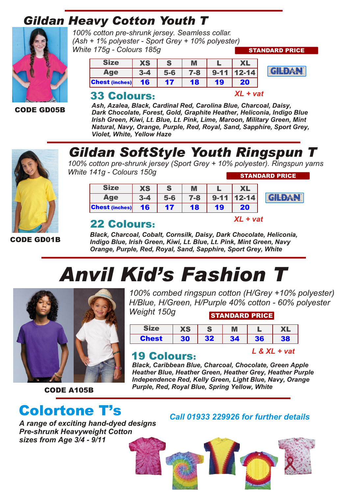## *Gildan Heavy Cotton Youth T*



CODE GD05B

*100% cotton pre-shrunk jersey. Seamless collar. (Ash + 1% polyester - Sport Grey + 10% polyester) White 175g - Colours 185g*

| JIze                  | ХS  |     | M   |    |         |
|-----------------------|-----|-----|-----|----|---------|
| <b>ide</b>            | 3.4 | 5-6 | 7-8 |    | 12-14 l |
| <b>Chest (inches)</b> | 16  | 17  | 18  | 19 | 20      |

### 33 Colours:

*Ash, Azalea, Black, Cardinal Red, Carolina Blue, Charcoal, Daisy, Dark Chocolate, Forest, Gold, Graphite Heather, Heliconia, Indigo Blue Irish Green, Kiwi, Lt. Blue, Lt. Pink, Lime, Maroon, Military Green, Mint Natural, Navy, Orange, Purple, Red, Royal, Sand, Sapphire, Sport Grey, Violet, White, Yellow Haze*



## *Gildan SoftStyle Youth Ringspun T*

*100% cotton pre-shrunk jersey (Sport Grey + 10% polyester). Ringspun yarns White 141g - Colours 150g* STANDARD PRICE

| <b>Size</b>           | ХS |     | M   |    |          |
|-----------------------|----|-----|-----|----|----------|
| $\mathbf{A}$ ge       |    | 5-6 | 7-8 |    | $2 - 14$ |
| <b>Chest (inches)</b> | 16 | 17  | 18  | 19 | 20       |

### 22 Colours:

*XL + vat*

*XL + vat*

STANDARD PRICE

GILDAN

**GILDAN** 

CODE GD01B

*Black, Charcoal, Cobalt, Cornsilk, Daisy, Dark Chocolate, Heliconia, Indigo Blue, Irish Green, Kiwi, Lt. Blue, Lt. Pink, Mint Green, Navy Orange, Purple, Red, Royal, Sand, Sapphire, Sport Grey, White*

# *Anvil Kid's Fashion T*



CODE A105B

# Colortone T's *Call 01933 229926 for further details*

*A range of exciting hand-dyed designs Pre-shrunk Heavyweight Cotton sizes from Age 3/4 - 9/11*

*100% combed ringspun cotton (H/Grey +10% polyester) H/Blue, H/Green, H/Purple 40% cotton - 60% polyester Weight 150g*

STANDARD PRICE Size  $X$ S  $S$  M  $L$   $X$ 

| JILE  | íЭ        |                 |    |            |     |
|-------|-----------|-----------------|----|------------|-----|
| Chest | 30<br>- 1 | 32 <sub>2</sub> | 34 | 36         | 38  |
| . .   |           |                 |    | <b>PVI</b> | vat |

### 19 Colours:

*Black, Caribbean Blue, Charcoal, Chocolate, Green Apple Heather Blue, Heather Green, Heather Grey, Heather Purple Independence Red, Kelly Green, Light Blue, Navy, Orange Purple, Red, Royal Blue, Spring Yellow, White*

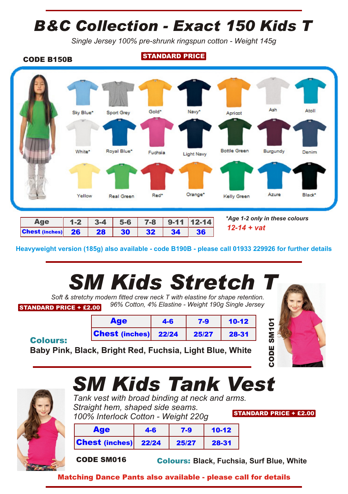# *B&C Collection - Exact 150 Kids T*

*Single Jersey 100% pre-shrunk ringspun cotton - Weight 145g*



| Age                      |  |                 |                                                                                       | $1-2$ 3-4 5-6 7-8 9-11 12-14 |
|--------------------------|--|-----------------|---------------------------------------------------------------------------------------|------------------------------|
| Chest (inches) $26$   28 |  | 30 <sup>°</sup> | $\begin{array}{ c c c c c c c c c } \hline \multicolumn{1}{ c }{32} & 34 \end{array}$ | 36                           |

*\*Age 1-2 only in these colours 12-14 + vat*

**Heavyweight version (185g) also available - code B190B - please call 01933 229926 for further details**

# *SM Kids Stretch T*

STANDARD PRICE + £2.00 *Soft & stretchy modern fitted crew neck T with elastine for shape retention. 96% Cotton, 4% Elastine - Weight 190g Single Jersey*

| <b>Age</b>                  | $4-6$ | $7-9$ | $10-12$ |  |
|-----------------------------|-------|-------|---------|--|
| <b>Chest (inches)</b> 22/24 |       | 25/27 | 28-31   |  |

**Baby Pink, Black, Bright Red, Fuchsia, Light Blue, White**





Colours:

# *SM Kids Tank Vest*

STANDARD PRICE + £2.00 *Tank vest with broad binding at neck and arms. Straight hem, shaped side seams. 100% Interlock Cotton - Weight 220g*

| <b>Age</b>                    | 4-6 | $7 - 9$ | $10-12$ |  |
|-------------------------------|-----|---------|---------|--|
| <b>Chest</b> (inches) $22/24$ |     | 25/27   | 28-31   |  |

CODE SM016 Colours: **Black, Fuchsia, Surf Blue, White**

Matching Dance Pants also available - please call for details